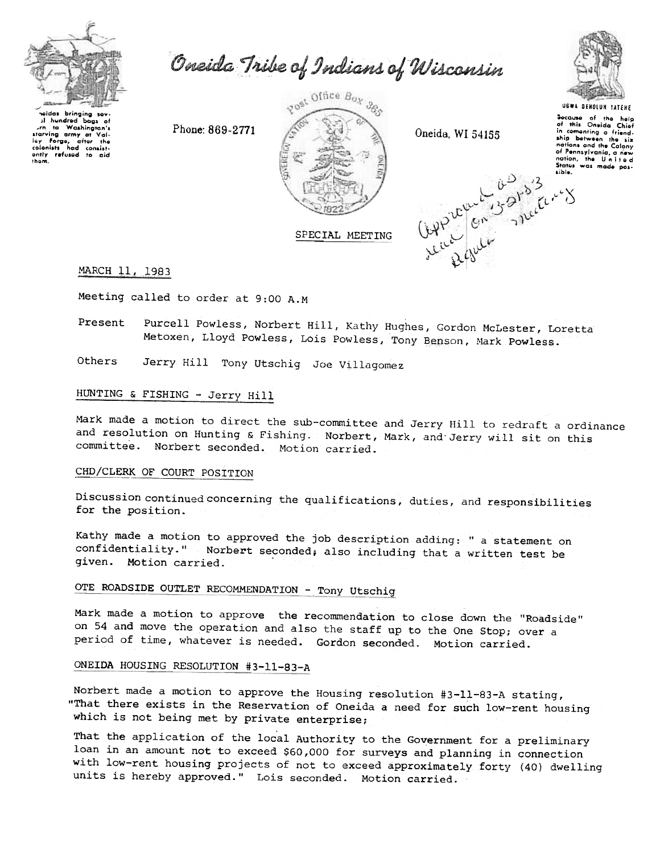

Oneida Tribe of Indians of Wisconsin



 $1$  hundred bags of Washington's starving army Of Vailey Forge, after the colonists had consist-<br>ontly refused to aid Ih\_m.



UGWA DEHOLUH TATEHE aocause of the help<br>of this Oneida Chiof in comenting a friend.<br>ship between the six ship between the sin<br>nations and the Colony<br>of Pennsylvania, a new<br>nation, the Un itade<br>States was made pos liblo.

 $\sim'$ 

## MARCH 11, 1983

Meeting called to order at 9:00 A.M

- Present Purcell Powless, Norbert Hill, Kathy Hughes, Gordon McLester, Loretta Metoxen, Lloyd Powless, Lois Powless, Tony Benson, Mark Powless.
- Others Jerry Hill Tony Utschig Joe Villagomez

# HUNTING & FISHING - Jerry Hill

Mark made a motion to direct the sub-committee and Jerry Hill to redraft a ordinance and resolution on Hunting & Fishing. Norbert, Mark, and Jerry will sit on this committee. Norbert seconded. Motion carried.

### CHD/CLERK OF COURT POSITION

Discussion continued concerning the qualifications, duties, and responsibilities for the position.

Kathy made a motion to approved the job description adding: " a statement on confidentiality." Norbert seconded; also including that the statement on confidentiality." Norbert seconded; also including that a written test be given. Motion carried.

# OTE ROADSIDE OUTLET RECOMMENDATION - Tony Utschig

Mark made a motion to approve the recommendation to close down the "Roadside" on 54 and move the operation and also the staff up to the One Stop; over a period of time, whatever is needed. Gordon seconded. Motion carried.

## ONEIDA HOUSING RESOLUTION #3-11-83-A

Norbert made a motion to approve the Housing resolution #3-ll-83-A stating, "That there exists in the Reservation of Oneida a need for such low-rent housing which is not being met by private enterprise;

That the application of the local Authority to the Government for a preliminary loan in an amount not to exceed \$60,000 for surveys and planning in connection with low-rent housing projects of not to exceed approximately forty (40) dwelling units is hereby approved." Lois seconded. Motion carried.